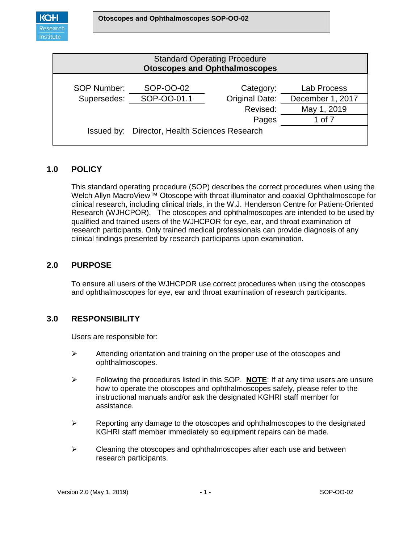

| <b>Standard Operating Procedure</b><br><b>Otoscopes and Ophthalmoscopes</b> |                                               |                       |                  |  |
|-----------------------------------------------------------------------------|-----------------------------------------------|-----------------------|------------------|--|
| <b>SOP Number:</b>                                                          | SOP-OO-02                                     | Category:             | Lab Process      |  |
| Supersedes:                                                                 | SOP-OO-01.1                                   | <b>Original Date:</b> | December 1, 2017 |  |
|                                                                             |                                               | Revised:              | May 1, 2019      |  |
|                                                                             |                                               | Pages                 | 1 of 7           |  |
|                                                                             | Issued by: Director, Health Sciences Research |                       |                  |  |

## **1.0 POLICY**

This standard operating procedure (SOP) describes the correct procedures when using the Welch Allyn MacroView™ Otoscope with throat illuminator and coaxial Ophthalmoscope for clinical research, including clinical trials, in the W.J. Henderson Centre for Patient-Oriented Research (WJHCPOR). The otoscopes and ophthalmoscopes are intended to be used by qualified and trained users of the WJHCPOR for eye, ear, and throat examination of research participants. Only trained medical professionals can provide diagnosis of any clinical findings presented by research participants upon examination.

### **2.0 PURPOSE**

To ensure all users of the WJHCPOR use correct procedures when using the otoscopes and ophthalmoscopes for eye, ear and throat examination of research participants.

### **3.0 RESPONSIBILITY**

Users are responsible for:

- $\triangleright$  Attending orientation and training on the proper use of the otoscopes and ophthalmoscopes.
- Following the procedures listed in this SOP. **NOTE**: If at any time users are unsure how to operate the otoscopes and ophthalmoscopes safely, please refer to the instructional manuals and/or ask the designated KGHRI staff member for assistance.
- $\triangleright$  Reporting any damage to the otoscopes and ophthalmoscopes to the designated KGHRI staff member immediately so equipment repairs can be made.
- $\triangleright$  Cleaning the otoscopes and ophthalmoscopes after each use and between research participants.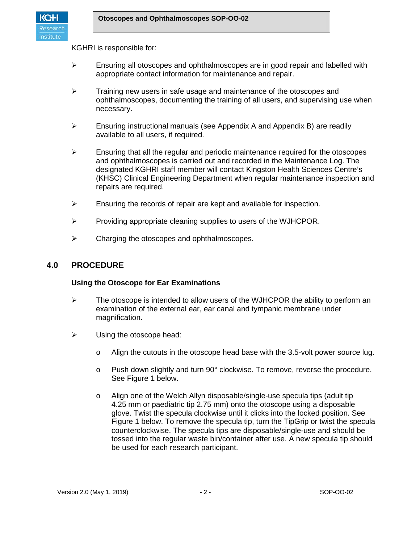

KGHRI is responsible for:

- $\triangleright$  Ensuring all otoscopes and ophthalmoscopes are in good repair and labelled with appropriate contact information for maintenance and repair.
- $\triangleright$  Training new users in safe usage and maintenance of the otoscopes and ophthalmoscopes, documenting the training of all users, and supervising use when necessary.
- $\triangleright$  Ensuring instructional manuals (see Appendix A and Appendix B) are readily available to all users, if required.
- $\triangleright$  Ensuring that all the regular and periodic maintenance required for the otoscopes and ophthalmoscopes is carried out and recorded in the Maintenance Log. The designated KGHRI staff member will contact Kingston Health Sciences Centre's (KHSC) Clinical Engineering Department when regular maintenance inspection and repairs are required.
- $\triangleright$  Ensuring the records of repair are kept and available for inspection.
- $\triangleright$  Providing appropriate cleaning supplies to users of the WJHCPOR.
- $\triangleright$  Charging the otoscopes and ophthalmoscopes.

### **4.0 PROCEDURE**

#### **Using the Otoscope for Ear Examinations**

- $\triangleright$  The otoscope is intended to allow users of the WJHCPOR the ability to perform an examination of the external ear, ear canal and tympanic membrane under magnification.
- $\triangleright$  Using the otoscope head:
	- o Align the cutouts in the otoscope head base with the 3.5-volt power source lug.
	- o Push down slightly and turn 90° clockwise. To remove, reverse the procedure. See Figure 1 below.
	- o Align one of the Welch Allyn disposable/single-use specula tips (adult tip 4.25 mm or paediatric tip 2.75 mm) onto the otoscope using a disposable glove. Twist the specula clockwise until it clicks into the locked position. See Figure 1 below. To remove the specula tip, turn the TipGrip or twist the specula counterclockwise. The specula tips are disposable/single-use and should be tossed into the regular waste bin/container after use. A new specula tip should be used for each research participant.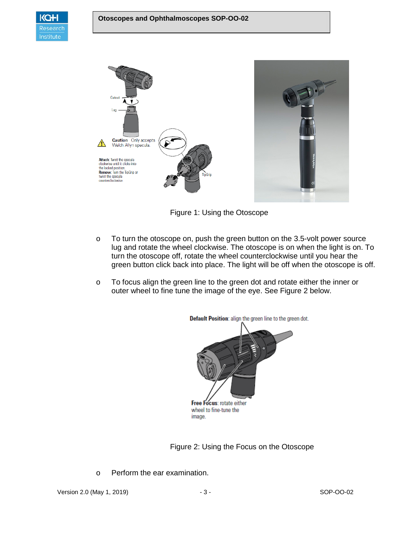



Figure 1: Using the Otoscope

- o To turn the otoscope on, push the green button on the 3.5-volt power source lug and rotate the wheel clockwise. The otoscope is on when the light is on. To turn the otoscope off, rotate the wheel counterclockwise until you hear the green button click back into place. The light will be off when the otoscope is off.
- o To focus align the green line to the green dot and rotate either the inner or outer wheel to fine tune the image of the eye. See Figure 2 below.



Figure 2: Using the Focus on the Otoscope

o Perform the ear examination.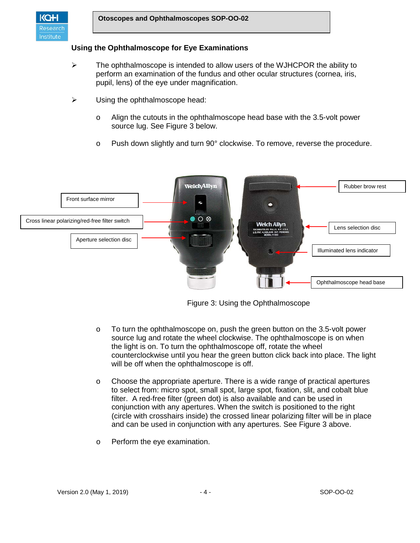

#### **Using the Ophthalmoscope for Eye Examinations**

- $\triangleright$  The ophthalmoscope is intended to allow users of the WJHCPOR the ability to perform an examination of the fundus and other ocular structures (cornea, iris, pupil, lens) of the eye under magnification.
- $\triangleright$  Using the ophthalmoscope head:
	- o Align the cutouts in the ophthalmoscope head base with the 3.5-volt power source lug. See Figure 3 below.
	- o Push down slightly and turn 90° clockwise. To remove, reverse the procedure.



Figure 3: Using the Ophthalmoscope

- $\circ$  To turn the ophthalmoscope on, push the green button on the 3.5-volt power source lug and rotate the wheel clockwise. The ophthalmoscope is on when the light is on. To turn the ophthalmoscope off, rotate the wheel counterclockwise until you hear the green button click back into place. The light will be off when the ophthalmoscope is off.
- o Choose the appropriate aperture. There is a wide range of practical apertures to select from: micro spot, small spot, large spot, fixation, slit, and cobalt blue filter. A red-free filter (green dot) is also available and can be used in conjunction with any apertures. When the switch is positioned to the right (circle with crosshairs inside) the crossed linear polarizing filter will be in place and can be used in conjunction with any apertures. See Figure 3 above.
- o Perform the eye examination.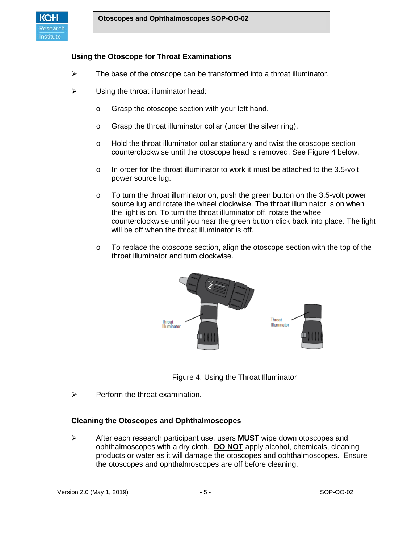

### **Using the Otoscope for Throat Examinations**

- $\triangleright$  The base of the otoscope can be transformed into a throat illuminator.
- $\triangleright$  Using the throat illuminator head:
	- o Grasp the otoscope section with your left hand.
	- o Grasp the throat illuminator collar (under the silver ring).
	- o Hold the throat illuminator collar stationary and twist the otoscope section counterclockwise until the otoscope head is removed. See Figure 4 below.
	- o In order for the throat illuminator to work it must be attached to the 3.5-volt power source lug.
	- o To turn the throat illuminator on, push the green button on the 3.5-volt power source lug and rotate the wheel clockwise. The throat illuminator is on when the light is on. To turn the throat illuminator off, rotate the wheel counterclockwise until you hear the green button click back into place. The light will be off when the throat illuminator is off.
	- $\circ$  To replace the otoscope section, align the otoscope section with the top of the throat illuminator and turn clockwise.





 $\triangleright$  Perform the throat examination.

### **Cleaning the Otoscopes and Ophthalmoscopes**

 After each research participant use, users **MUST** wipe down otoscopes and ophthalmoscopes with a dry cloth. **DO NOT** apply alcohol, chemicals, cleaning products or water as it will damage the otoscopes and ophthalmoscopes. Ensure the otoscopes and ophthalmoscopes are off before cleaning.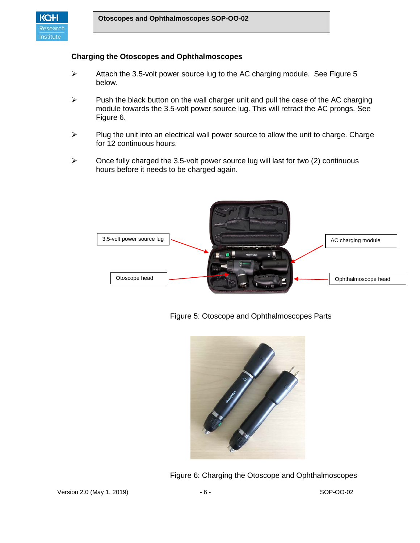

#### **Charging the Otoscopes and Ophthalmoscopes**

- $\triangleright$  Attach the 3.5-volt power source lug to the AC charging module. See Figure 5 below.
- $\triangleright$  Push the black button on the wall charger unit and pull the case of the AC charging module towards the 3.5-volt power source lug. This will retract the AC prongs. See Figure 6.
- $\triangleright$  Plug the unit into an electrical wall power source to allow the unit to charge. Charge for 12 continuous hours.
- $\triangleright$  Once fully charged the 3.5-volt power source lug will last for two (2) continuous hours before it needs to be charged again.



Figure 5: Otoscope and Ophthalmoscopes Parts



Figure 6: Charging the Otoscope and Ophthalmoscopes